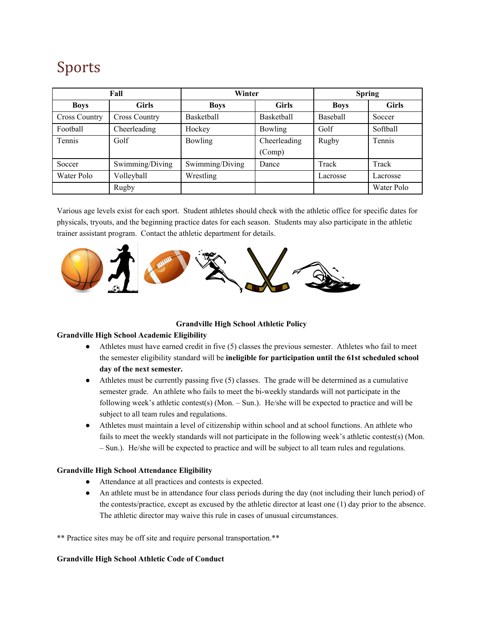# Sports

| Fall                 |                      | Winter            |              | <b>Spring</b> |               |
|----------------------|----------------------|-------------------|--------------|---------------|---------------|
| <b>Boys</b>          | <b>Girls</b>         | <b>Boys</b>       | <b>Girls</b> | <b>Boys</b>   | <b>Girls</b>  |
| <b>Cross Country</b> | <b>Cross Country</b> | <b>Basketball</b> | Basketball   | Baseball      | Soccer        |
| Football             | Cheerleading         | Hockey            | Bowling      | Golf          | Softball      |
| <b>Tennis</b>        | Golf                 | Bowling           | Cheerleading | Rugby         | <b>Tennis</b> |
|                      |                      |                   | (Comp)       |               |               |
| Soccer               | Swimming/Diving      | Swimming/Diving   | Dance        | Track         | Track         |
| Water Polo           | Volleyball           | Wrestling         |              | Lacrosse      | Lacrosse      |
|                      | Rugby                |                   |              |               | Water Polo    |

Various age levels exist for each sport. Student athletes should check with the athletic office for specific dates for physicals, tryouts, and the beginning practice dates for each season. Students may also participate in the athletic trainer assistant program. Contact the athletic department for details.



## **Grandville High School Athletic Policy**

## **Grandville High School Academic Eligibility**

- Athletes must have earned credit in five (5) classes the previous semester. Athletes who fail to meet the semester eligibility standard will be **ineligible for participation until the 61st scheduled school day of the next semester.**
- Athletes must be currently passing five (5) classes. The grade will be determined as a cumulative semester grade. An athlete who fails to meet the bi-weekly standards will not participate in the following week's athletic contest(s) (Mon. – Sun.). He/she will be expected to practice and will be subject to all team rules and regulations.
- Athletes must maintain a level of citizenship within school and at school functions. An athlete who fails to meet the weekly standards will not participate in the following week's athletic contest(s) (Mon. – Sun.). He/she will be expected to practice and will be subject to all team rules and regulations.

## **Grandville High School Attendance Eligibility**

- Attendance at all practices and contests is expected.
- An athlete must be in attendance four class periods during the day (not including their lunch period) of the contests/practice, except as excused by the athletic director at least one (1) day prior to the absence. The athletic director may waive this rule in cases of unusual circumstances.

\*\* Practice sites may be off site and require personal transportation.\*\*

## **Grandville High School Athletic Code of Conduct**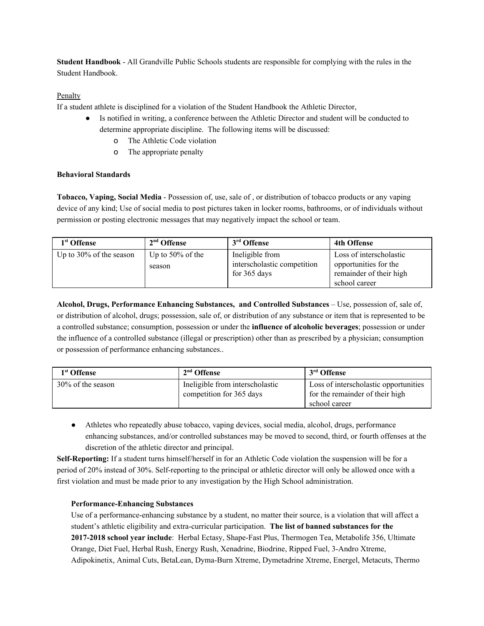**Student Handbook** - All Grandville Public Schools students are responsible for complying with the rules in the Student Handbook.

## Penalty

If a student athlete is disciplined for a violation of the Student Handbook the Athletic Director,

- Is notified in writing, a conference between the Athletic Director and student will be conducted to determine appropriate discipline. The following items will be discussed:
	- o The Athletic Code violation
	- o The appropriate penalty

## **Behavioral Standards**

**Tobacco, Vaping, Social Media** - Possession of, use, sale of , or distribution of tobacco products or any vaping device of any kind; Use of social media to post pictures taken in locker rooms, bathrooms, or of individuals without permission or posting electronic messages that may negatively impact the school or team.

| 1 <sup>st</sup> Offense    | $2nd$ Offense       | 3 <sup>rd</sup> Offense     | <b>4th Offense</b>      |
|----------------------------|---------------------|-----------------------------|-------------------------|
| Up to $30\%$ of the season | Up to $50\%$ of the | Ineligible from             | Loss of interscholastic |
|                            | season              | interscholastic competition | opportunities for the   |
|                            |                     | for 365 days                | remainder of their high |
|                            |                     |                             | school career           |

**Alcohol, Drugs, Performance Enhancing Substances, and Controlled Substances** – Use, possession of, sale of, or distribution of alcohol, drugs; possession, sale of, or distribution of any substance or item that is represented to be a controlled substance; consumption, possession or under the **influence of alcoholic beverages**; possession or under the influence of a controlled substance (illegal or prescription) other than as prescribed by a physician; consumption or possession of performance enhancing substances..

| 1 <sup>st</sup> Offense | $2nd$ Offense                                               | 3 <sup>rd</sup> Offense                                                                   |
|-------------------------|-------------------------------------------------------------|-------------------------------------------------------------------------------------------|
| 30% of the season       | Ineligible from interscholastic<br>competition for 365 days | Loss of interscholastic opportunities<br>for the remainder of their high<br>school career |

• Athletes who repeatedly abuse tobacco, vaping devices, social media, alcohol, drugs, performance enhancing substances, and/or controlled substances may be moved to second, third, or fourth offenses at the discretion of the athletic director and principal.

**Self-Reporting:** If a student turns himself/herself in for an Athletic Code violation the suspension will be for a period of 20% instead of 30%. Self-reporting to the principal or athletic director will only be allowed once with a first violation and must be made prior to any investigation by the High School administration.

## **Performance-Enhancing Substances**

Use of a performance-enhancing substance by a student, no matter their source, is a violation that will affect a student's athletic eligibility and extra-curricular participation. **The list of banned substances for the 2017-2018 school year include**: Herbal Ectasy, Shape-Fast Plus, Thermogen Tea, Metabolife 356, Ultimate Orange, Diet Fuel, Herbal Rush, Energy Rush, Xenadrine, Biodrine, Ripped Fuel, 3-Andro Xtreme, Adipokinetix, Animal Cuts, BetaLean, Dyma-Burn Xtreme, Dymetadrine Xtreme, Energel, Metacuts, Thermo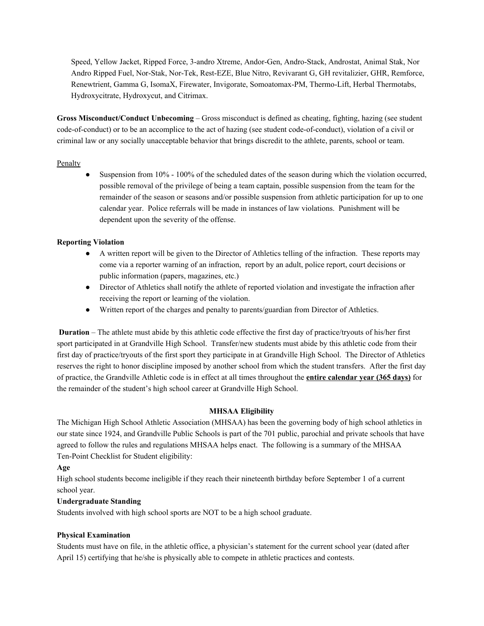Speed, Yellow Jacket, Ripped Force, 3-andro Xtreme, Andor-Gen, Andro-Stack, Androstat, Animal Stak, Nor Andro Ripped Fuel, Nor-Stak, Nor-Tek, Rest-EZE, Blue Nitro, Revivarant G, GH revitalizier, GHR, Remforce, Renewtrient, Gamma G, IsomaX, Firewater, Invigorate, Somoatomax-PM, Thermo-Lift, Herbal Thermotabs, Hydroxycitrate, Hydroxycut, and Citrimax.

**Gross Misconduct/Conduct Unbecoming** – Gross misconduct is defined as cheating, fighting, hazing (see student code-of-conduct) or to be an accomplice to the act of hazing (see student code-of-conduct), violation of a civil or criminal law or any socially unacceptable behavior that brings discredit to the athlete, parents, school or team.

## Penalty

Suspension from 10% - 100% of the scheduled dates of the season during which the violation occurred, possible removal of the privilege of being a team captain, possible suspension from the team for the remainder of the season or seasons and/or possible suspension from athletic participation for up to one calendar year. Police referrals will be made in instances of law violations. Punishment will be dependent upon the severity of the offense.

## **Reporting Violation**

- A written report will be given to the Director of Athletics telling of the infraction. These reports may come via a reporter warning of an infraction, report by an adult, police report, court decisions or public information (papers, magazines, etc.)
- Director of Athletics shall notify the athlete of reported violation and investigate the infraction after receiving the report or learning of the violation.
- Written report of the charges and penalty to parents/guardian from Director of Athletics.

**Duration** – The athlete must abide by this athletic code effective the first day of practice/tryouts of his/her first sport participated in at Grandville High School. Transfer/new students must abide by this athletic code from their first day of practice/tryouts of the first sport they participate in at Grandville High School. The Director of Athletics reserves the right to honor discipline imposed by another school from which the student transfers. After the first day of practice, the Grandville Athletic code is in effect at all times throughout the **entire calendar year (365 days)** for the remainder of the student's high school career at Grandville High School.

## **MHSAA Eligibility**

The Michigan High School Athletic Association (MHSAA) has been the governing body of high school athletics in our state since 1924, and Grandville Public Schools is part of the 701 public, parochial and private schools that have agreed to follow the rules and regulations MHSAA helps enact. The following is a summary of the MHSAA Ten-Point Checklist for Student eligibility:

## **Age**

High school students become ineligible if they reach their nineteenth birthday before September 1 of a current school year.

## **Undergraduate Standing**

Students involved with high school sports are NOT to be a high school graduate.

## **Physical Examination**

Students must have on file, in the athletic office, a physician's statement for the current school year (dated after April 15) certifying that he/she is physically able to compete in athletic practices and contests.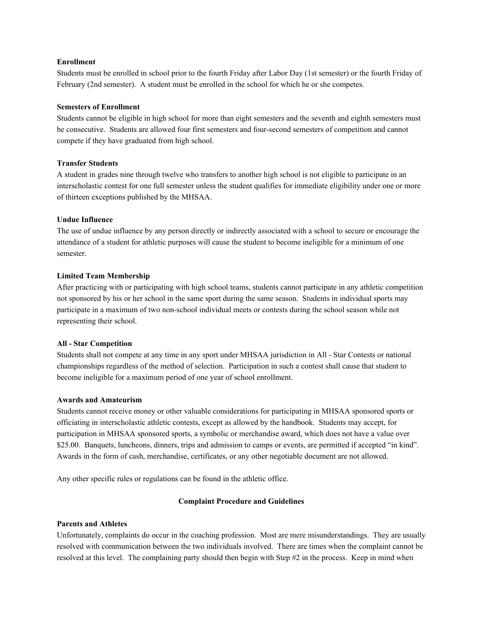#### **Enrollment**

Students must be enrolled in school prior to the fourth Friday after Labor Day (1st semester) or the fourth Friday of February (2nd semester). A student must be enrolled in the school for which he or she competes.

### **Semesters of Enrollment**

Students cannot be eligible in high school for more than eight semesters and the seventh and eighth semesters must be consecutive. Students are allowed four first semesters and four-second semesters of competition and cannot compete if they have graduated from high school.

### **Transfer Students**

A student in grades nine through twelve who transfers to another high school is not eligible to participate in an interscholastic contest for one full semester unless the student qualifies for immediate eligibility under one or more of thirteen exceptions published by the MHSAA.

### **Undue Influence**

The use of undue influence by any person directly or indirectly associated with a school to secure or encourage the attendance of a student for athletic purposes will cause the student to become ineligible for a minimum of one semester.

### **Limited Team Membership**

After practicing with or participating with high school teams, students cannot participate in any athletic competition not sponsored by his or her school in the same sport during the same season. Students in individual sports may participate in a maximum of two non-school individual meets or contests during the school season while not representing their school.

#### **All - Star Competition**

Students shall not compete at any time in any sport under MHSAA jurisdiction in All - Star Contests or national championships regardless of the method of selection. Participation in such a contest shall cause that student to become ineligible for a maximum period of one year of school enrollment.

#### **Awards and Amateurism**

Students cannot receive money or other valuable considerations for participating in MHSAA sponsored sports or officiating in interscholastic athletic contests, except as allowed by the handbook. Students may accept, for participation in MHSAA sponsored sports, a symbolic or merchandise award, which does not have a value over \$25.00. Banquets, luncheons, dinners, trips and admission to camps or events, are permitted if accepted "in kind". Awards in the form of cash, merchandise, certificates, or any other negotiable document are not allowed.

Any other specific rules or regulations can be found in the athletic office.

## **Complaint Procedure and Guidelines**

#### **Parents and Athletes**

Unfortunately, complaints do occur in the coaching profession. Most are mere misunderstandings. They are usually resolved with communication between the two individuals involved. There are times when the complaint cannot be resolved at this level. The complaining party should then begin with Step #2 in the process. Keep in mind when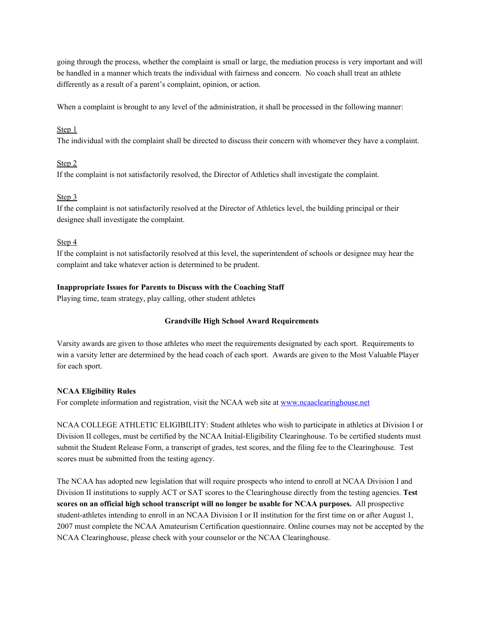going through the process, whether the complaint is small or large, the mediation process is very important and will be handled in a manner which treats the individual with fairness and concern. No coach shall treat an athlete differently as a result of a parent's complaint, opinion, or action.

When a complaint is brought to any level of the administration, it shall be processed in the following manner:

## Step 1

The individual with the complaint shall be directed to discuss their concern with whomever they have a complaint.

## Step 2

If the complaint is not satisfactorily resolved, the Director of Athletics shall investigate the complaint.

## Step 3

If the complaint is not satisfactorily resolved at the Director of Athletics level, the building principal or their designee shall investigate the complaint.

## Step 4

If the complaint is not satisfactorily resolved at this level, the superintendent of schools or designee may hear the complaint and take whatever action is determined to be prudent.

## **Inappropriate Issues for Parents to Discuss with the Coaching Staff**

Playing time, team strategy, play calling, other student athletes

## **Grandville High School Award Requirements**

Varsity awards are given to those athletes who meet the requirements designated by each sport. Requirements to win a varsity letter are determined by the head coach of each sport. Awards are given to the Most Valuable Player for each sport.

## **NCAA Eligibility Rules**

For complete information and registration, visit the NCAA web site at [www.ncaaclearinghouse.net](http://www.ncaaclearinghouse.net/)

NCAA COLLEGE ATHLETIC ELIGIBILITY: Student athletes who wish to participate in athletics at Division I or Division II colleges, must be certified by the NCAA Initial-Eligibility Clearinghouse. To be certified students must submit the Student Release Form, a transcript of grades, test scores, and the filing fee to the Clearinghouse. Test scores must be submitted from the testing agency.

The NCAA has adopted new legislation that will require prospects who intend to enroll at NCAA Division I and Division II institutions to supply ACT or SAT scores to the Clearinghouse directly from the testing agencies. **Test scores on an official high school transcript will no longer be usable for NCAA purposes.** All prospective student-athletes intending to enroll in an NCAA Division I or II institution for the first time on or after August 1, 2007 must complete the NCAA Amateurism Certification questionnaire. Online courses may not be accepted by the NCAA Clearinghouse, please check with your counselor or the NCAA Clearinghouse.